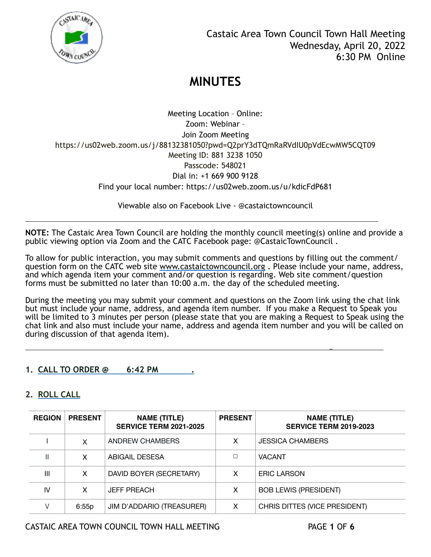

Meeting Location – Online: Zoom: Webinar – Join Zoom Meeting https://us02web.zoom.us/j/88132381050?pwd=Q2prY3dTQmRaRVdIU0pVdEcwMW5CQT09 Meeting ID: 881 3238 1050 Passcode: 548021 Dial in: +1 669 900 9128 Find your local number: https://us02web.zoom.us/u/kdicFdP681

Viewable also on Facebook Live - @castaictowncouncil

**NOTE:** The Castaic Area Town Council are holding the monthly council meeting(s) online and provide a public viewing option via Zoom and the CATC Facebook page: @CastaicTownCouncil .

l

To allow for public interaction, you may submit comments and questions by filling out the comment/ question form on the CATC web site [www.castaictowncouncil.org](http://www.castaictowncouncil.org) . Please include your name, address, and which agenda item your comment and/or question is regarding. Web site comment/question forms must be submitted no later than 10:00 a.m. the day of the scheduled meeting.

During the meeting you may submit your comment and questions on the Zoom link using the chat link but must include your name, address, and agenda item number. If you make a Request to Speak you will be limited to 3 minutes per person (please state that you are making a Request to Speak using the chat link and also must include your name, address and agenda item number and you will be called on during discussion of that agenda item).

you are the second that the second contract of the second contract of the second contract of the second contract of the second contract of the second contract of the second contract of the second contract of the second con

### **1. CALL TO ORDER @ 6:42 PM .**

### **2. ROLL CALL**

| <b>REGION</b>  | <b>PRESENT</b> | <b>NAME (TITLE)</b><br><b>SERVICE TERM 2021-2025</b> | <b>PRESENT</b> | <b>NAME (TITLE)</b><br><b>SERVICE TERM 2019-2023</b> |
|----------------|----------------|------------------------------------------------------|----------------|------------------------------------------------------|
|                | X              | ANDREW CHAMBERS                                      | x              | <b>JESSICA CHAMBERS</b>                              |
|                | x              | ABIGAIL DESESA                                       | П              | <b>VACANT</b>                                        |
| $\mathbf{III}$ | x              | DAVID BOYER (SECRETARY)                              | x              | <b>ERIC LARSON</b>                                   |
| IV             | x              | <b>JEFF PREACH</b>                                   | x              | <b>BOB LEWIS (PRESIDENT)</b>                         |
|                | 6:55p          | JIM D'ADDARIO (TREASURER)                            | x              | CHRIS DITTES (VICE PRESIDENT)                        |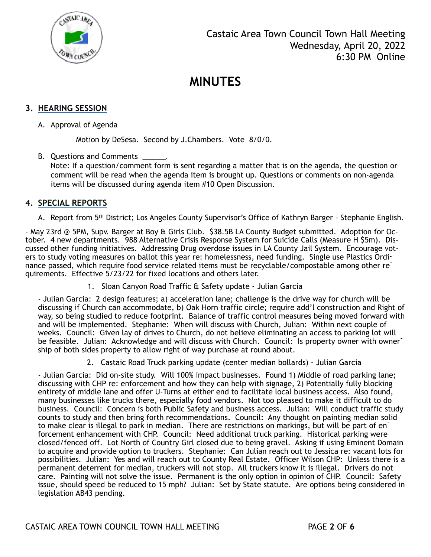

### **3. HEARING SESSION**

A. Approval of Agenda

Motion by DeSesa. Second by J.Chambers. Vote 8/0/0.

B. Questions and Comments \_

Note: If a question/comment form is sent regarding a matter that is on the agenda, the question or comment will be read when the agenda item is brought up. Questions or comments on non-agenda items will be discussed during agenda item #10 Open Discussion.

#### **4. SPECIAL REPORTS**

A. Report from 5th District; Los Angeles County Supervisor's Office of Kathryn Barger - Stephanie English.

- May 23rd @ 5PM, Supv. Barger at Boy & Girls Club. \$38.5B LA County Budget submitted. Adoption for October. 4 new departments. 988 Alternative Crisis Response System for Suicide Calls (Measure H \$5m). Discussed other funding initiatives. Addressing Drug overdose issues in LA County Jail System. Encourage voters to study voting measures on ballot this year re: homelessness, need funding. Single use Plastics Ordinance passed, which require food service related items must be recyclable/compostable among other requirements. Effective 5/23/22 for fixed locations and others later.

1. Sloan Canyon Road Traffic & Safety update - Julian Garcia

- Julian Garcia: 2 design features; a) acceleration lane; challenge is the drive way for church will be discussing if Church can accommodate, b) Oak Horn traffic circle; require add'l construction and Right of way, so being studied to reduce footprint. Balance of traffic control measures being moved forward with and will be implemented. Stephanie: When will discuss with Church, Julian: Within next couple of weeks. Council: Given lay of drives to Church, do not believe eliminating an access to parking lot will be feasible. Julian: Acknowledge and will discuss with Church. Council: Is property owner with ownership of both sides property to allow right of way purchase at round about.

2. Castaic Road Truck parking update (center median bollards) - Julian Garcia

- Julian Garcia: Did on-site study. Will 100% impact businesses. Found 1) Middle of road parking lane; discussing with CHP re: enforcement and how they can help with signage, 2) Potentially fully blocking entirety of middle lane and offer U-Turns at either end to facilitate local business access. Also found, many businesses like trucks there, especially food vendors. Not too pleased to make it difficult to do business. Council: Concern is both Public Safety and business access. Julian: Will conduct traffic study counts to study and then bring forth recommendations. Council: Any thought on painting median solid to make clear is illegal to park in median. There are restrictions on markings, but will be part of enforcement enhancement with CHP. Council: Need additional truck parking. Historical parking were closed/fenced off. Lot North of Country Girl closed due to being gravel. Asking if using Eminent Domain to acquire and provide option to truckers. Stephanie: Can Julian reach out to Jessica re: vacant lots for possibilities. Julian: Yes and will reach out to County Real Estate. Officer Wilson CHP: Unless there is a permanent deterrent for median, truckers will not stop. All truckers know it is illegal. Drivers do not care. Painting will not solve the issue. Permanent is the only option in opinion of CHP. Council: Safety issue, should speed be reduced to 15 mph? Julian: Set by State statute. Are options being considered in legislation AB43 pending.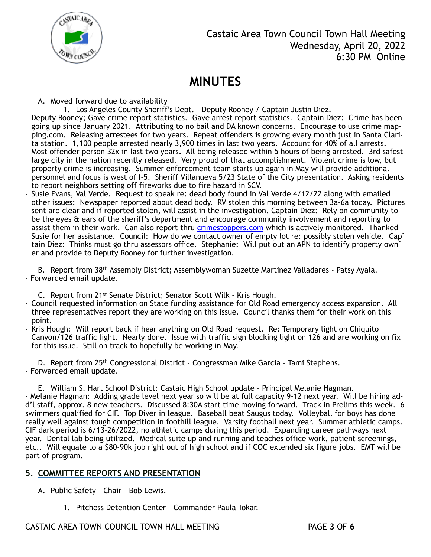

A. Moved forward due to availability

- 1. Los Angeles County Sheriff's Dept. Deputy Rooney / Captain Justin Diez.
- Deputy Rooney; Gave crime report statistics. Gave arrest report statistics. Captain Diez: Crime has been going up since January 2021. Attributing to no bail and DA known concerns. Encourage to use crime mapping.com. Releasing arrestees for two years. Repeat offenders is growing every month just in Santa Clarita station. 1,100 people arrested nearly 3,900 times in last two years. Account for 40% of all arrests. Most offender person 32x in last two years. All being released within 5 hours of being arrested. 3rd safest large city in the nation recently released. Very proud of that accomplishment. Violent crime is low, but property crime is increasing. Summer enforcement team starts up again in May will provide additional personnel and focus is west of I-5. Sheriff Villanueva 5/23 State of the City presentation. Asking residents to report neighbors setting off fireworks due to fire hazard in SCV.
- Susie Evans, Val Verde. Request to speak re: dead body found in Val Verde 4/12/22 along with emailed other issues: Newspaper reported about dead body. RV stolen this morning between 3a-6a today. Pictures sent are clear and if reported stolen, will assist in the investigation. Captain Diez: Rely on community to be the eyes & ears of the sheriff's department and encourage community involvement and reporting to assist them in their work. Can also report thru *crimestoppers.com* which is actively monitored. Thanked Susie for her assistance. Council: How do we contact owner of empty lot re: possibly stolen vehicle. Cap<sup>-</sup> tain Diez: Thinks must go thru assessors office. Stephanie: Will put out an APN to identify property own<sup>-</sup> er and provide to Deputy Rooney for further investigation.

B. Report from 38th Assembly District; Assemblywoman Suzette Martinez Valladares - Patsy Ayala. - Forwarded email update.

C. Report from 21st Senate District; Senator Scott Wilk - Kris Hough.

- Council requested information on State funding assistance for Old Road emergency access expansion. All three representatives report they are working on this issue. Council thanks them for their work on this point.
- Kris Hough: Will report back if hear anything on Old Road request. Re: Temporary light on Chiquito Canyon/126 traffic light. Nearly done. Issue with traffic sign blocking light on 126 and are working on fix for this issue. Still on track to hopefully be working in May.

D. Report from 25th Congressional District - Congressman Mike Garcia - Tami Stephens. - Forwarded email update.

E. William S. Hart School District: Castaic High School update - Principal Melanie Hagman. - Melanie Hagman: Adding grade level next year so will be at full capacity 9-12 next year. Will be hiring add'l staff, approx. 8 new teachers. Discussed 8:30A start time moving forward. Track in Prelims this week. 6 swimmers qualified for CIF. Top Diver in league. Baseball beat Saugus today. Volleyball for boys has done really well against tough competition in foothill league. Varsity football next year. Summer athletic camps. CIF dark period is 6/13-26/2022, no athletic camps during this period. Expanding career pathways next year. Dental lab being utilized. Medical suite up and running and teaches office work, patient screenings, etc.. Will equate to a \$80-90k job right out of high school and if COC extended six figure jobs. EMT will be part of program.

### **5. COMMITTEE REPORTS AND PRESENTATION**

A. Public Safety – Chair – Bob Lewis.

1. Pitchess Detention Center – Commander Paula Tokar.

### CASTAIC AREA TOWN COUNCIL TOWN HALL MEETING PAGE **3** OF **6**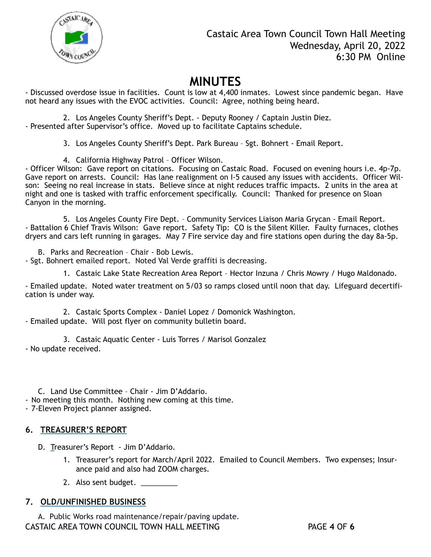

- Discussed overdose issue in facilities. Count is low at 4,400 inmates. Lowest since pandemic began. Have not heard any issues with the EVOC activities. Council: Agree, nothing being heard.

2. Los Angeles County Sheriff's Dept. - Deputy Rooney / Captain Justin Diez. - Presented after Supervisor's office. Moved up to facilitate Captains schedule.

3. Los Angeles County Sheriff's Dept. Park Bureau – Sgt. Bohnert - Email Report.

4. California Highway Patrol – Officer Wilson.

- Officer Wilson: Gave report on citations. Focusing on Castaic Road. Focused on evening hours i.e. 4p-7p. Gave report on arrests. Council: Has lane realignment on I-5 caused any issues with accidents. Officer Wilson: Seeing no real increase in stats. Believe since at night reduces traffic impacts. 2 units in the area at night and one is tasked with traffic enforcement specifically. Council: Thanked for presence on Sloan Canyon in the morning.

5. Los Angeles County Fire Dept. – Community Services Liaison Maria Grycan - Email Report. - Battalion 6 Chief Travis Wilson: Gave report. Safety Tip: CO is the Silent Killer. Faulty furnaces, clothes dryers and cars left running in garages. May 7 Fire service day and fire stations open during the day 8a-5p.

B. Parks and Recreation – Chair - Bob Lewis.

- Sgt. Bohnert emailed report. Noted Val Verde graffiti is decreasing.

1. Castaic Lake State Recreation Area Report – Hector Inzuna / Chris Mowry / Hugo Maldonado.

- Emailed update. Noted water treatment on 5/03 so ramps closed until noon that day. Lifeguard decertification is under way.

2. Castaic Sports Complex - Daniel Lopez / Domonick Washington. - Emailed update. Will post flyer on community bulletin board.

3. Castaic Aquatic Center - Luis Torres / Marisol Gonzalez - No update received.

C. Land Use Committee – Chair - Jim D'Addario.

- No meeting this month. Nothing new coming at this time.

- 7-Eleven Project planner assigned.

#### **6. TREASURER'S REPORT**

D. Treasurer's Report - Jim D'Addario.

- 1. Treasurer's report for March/April 2022. Emailed to Council Members. Two expenses; Insurance paid and also had ZOOM charges.
- 2. Also sent budget. \_\_\_\_\_\_\_\_\_

#### **7. OLD/UNFINISHED BUSINESS**

A. Public Works road maintenance/repair/paving update. CASTAIC AREA TOWN COUNCIL TOWN HALL MEETING PAGE **4** OF **6**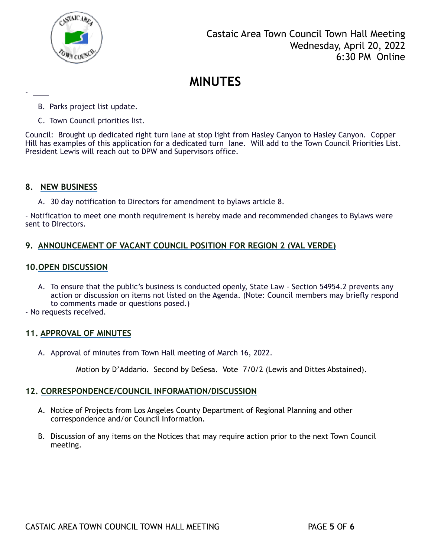

- B. Parks project list update.
- C. Town Council priorities list.

Council: Brought up dedicated right turn lane at stop light from Hasley Canyon to Hasley Canyon. Copper Hill has examples of this application for a dedicated turn lane. Will add to the Town Council Priorities List. President Lewis will reach out to DPW and Supervisors office.

#### **8. NEW BUSINESS**

- \_\_\_\_

A. 30 day notification to Directors for amendment to bylaws article 8.

- Notification to meet one month requirement is hereby made and recommended changes to Bylaws were sent to Directors.

### **9. ANNOUNCEMENT OF VACANT COUNCIL POSITION FOR REGION 2 (VAL VERDE)**

#### **10.OPEN DISCUSSION**

- A. To ensure that the public's business is conducted openly, State Law Section 54954.2 prevents any action or discussion on items not listed on the Agenda. (Note: Council members may briefly respond to comments made or questions posed.)
- No requests received.

#### **11. APPROVAL OF MINUTES**

A. Approval of minutes from Town Hall meeting of March 16, 2022.

Motion by D'Addario. Second by DeSesa. Vote 7/0/2 (Lewis and Dittes Abstained).

#### **12. CORRESPONDENCE/COUNCIL INFORMATION/DISCUSSION**

- A. Notice of Projects from Los Angeles County Department of Regional Planning and other correspondence and/or Council Information*.*
- B. Discussion of any items on the Notices that may require action prior to the next Town Council meeting.